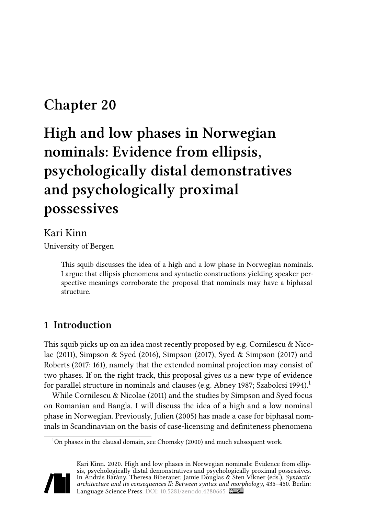## **Chapter 20**

# **High and low phases in Norwegian nominals: Evidence from ellipsis, psychologically distal demonstratives and psychologically proximal possessives**

#### Kari Kinn

University of Bergen

This squib discusses the idea of a high and a low phase in Norwegian nominals. I argue that ellipsis phenomena and syntactic constructions yielding speaker perspective meanings corroborate the proposal that nominals may have a biphasal structure.

## **1 Introduction**

This squib picks up on an idea most recently proposed by e.g. Cornilescu  $\&$  Nico[lae \(2011\)](#page-13-0), [Simpson & Syed \(2016\)](#page-15-0), [Simpson \(2017\),](#page-15-1) [Syed & Simpson \(2017\)](#page-15-2) and [Roberts \(2017](#page-14-0): 161), namely that the extended nominal projection may consist of two phases. If on the right track, this proposal gives us a new type of evidence for parallel structure in nominals and clauses (e.g. [Abney 1987](#page-13-1); [Szabolcsi 1994\)](#page-15-3).<sup>1</sup>

While [Cornilescu & Nicolae \(2011\)](#page-13-0) and the studies by Simpson and Syed focus on Romanian and Bangla, I will discuss the idea of a high and a low nominal phase in Norwegian. Previously, [Julien \(2005\)](#page-14-1) has made a case for biphasal nominals in Scandinavian on the basis of case-licensing and definiteness phenomena

<sup>&</sup>lt;sup>1</sup>On phases in the clausal domain, see [Chomsky \(2000\)](#page-13-2) and much subsequent work.



Kari Kinn. 2020. High and low phases in Norwegian nominals: Evidence from ellipsis, psychologically distal demonstratives and psychologically proximal possessives. In András Bárány, Theresa Biberauer, Jamie Douglas & Sten Vikner (eds.), *Syntactic architecture and its consequences II: Between syntax and morphology*, 435–450. Berlin: Language Science Press. DOI: [10.5281/zenodo.4280665](https://doi.org/10.5281/zenodo.4280665)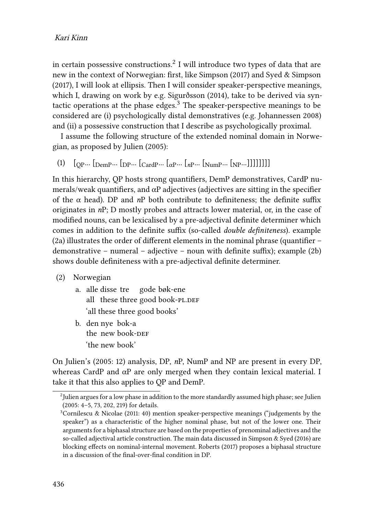in certain possessive constructions. $^2$  I will introduce two types of data that are new in the context of Norwegian: first, like [Simpson \(2017\)](#page-15-1) and [Syed & Simpson](#page-15-2) [\(2017\),](#page-15-2) I will look at ellipsis. Then I will consider speaker-perspective meanings, which I, drawing on work by e.g. [Sigurðsson \(2014\)](#page-15-4), take to be derived via syntactic operations at the phase edges.<sup>3</sup> The speaker-perspective meanings to be considered are (i) psychologically distal demonstratives (e.g. [Johannessen 2008](#page-14-2)) and (ii) a possessive construction that I describe as psychologically proximal.

I assume the following structure of the extended nominal domain in Norwegian, as proposed by [Julien \(2005\)](#page-14-1):

<span id="page-1-1"></span>(1)  $[$   $[$   $[$   $[$   $]$  $[$   $]$   $[$   $]$   $[$   $]$   $[$   $]$   $[$   $]$   $[$   $]$   $[$   $]$   $[$   $]$   $[$   $]$   $[$   $]$   $[$   $]$   $[$   $]$   $[$   $]$   $[$   $]$   $[$   $]$   $[$   $]$   $[$   $]$   $[$   $]$   $[$   $]$   $[$   $]$   $[$   $]$   $[$   $]$   $[$   $]$   $[$   $]$   $[$   $]$ 

In this hierarchy, QP hosts strong quantifiers, DemP demonstratives, CardP numerals/weak quantifiers, and  $\alpha$ P adjectives (adjectives are sitting in the specifier of the  $\alpha$  head). DP and  $nP$  both contribute to definiteness; the definite suffix originates in *n*P; D mostly probes and attracts lower material, or, in the case of modified nouns, can be lexicalised by a pre-adjectival definite determiner which comes in addition to the definite suffix (so-called *double definiteness*). example [\(2a](#page-1-0)) illustrates the order of different elements in the nominal phrase (quantifier – demonstrative – numeral – adjective – noun with definite suffix); example([2b](#page-1-0)) shows double definiteness with a pre-adjectival definite determiner.

- <span id="page-1-0"></span>(2) Norwegian
	- a. alle disse tre all) these three good book-PL.DEF gode bøk-ene 'all these three good books'
	- b. den nye bok-a the new book-DEF 'the new book'

On Julien's [\(2005](#page-14-1): 12) analysis, DP, *n*P, NumP and NP are present in every DP, whereas CardP and αP are only merged when they contain lexical material. I take it that this also applies to QP and DemP.

 $^{2}$ [Julien](#page-14-1) argues for a low phase in addition to the more standardly assumed high phase; see Julien [\(2005](#page-14-1): 4–5, 73, 202, 219) for details.

 $3$ [Cornilescu & Nicolae \(2011](#page-13-0): 40) mention speaker-perspective meanings ("judgements by the speaker") as a characteristic of the higher nominal phase, but not of the lower one. Their arguments for a biphasal structure are based on the properties of prenominal adjectives and the so-called adjectival article construction. The main data discussed in [Simpson & Syed \(2016\)](#page-15-0) are blocking effects on nominal-internal movement. [Roberts \(2017\)](#page-14-0) proposes a biphasal structure in a discussion of the final-over-final condition in DP.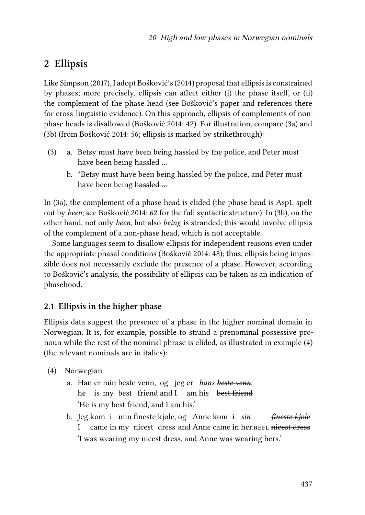## **2 Ellipsis**

Like [Simpson \(2017\),](#page-15-1) I adopt [Bošković'](#page-13-3)s (2014) proposal that ellipsis is constrained by phases; more precisely, ellipsis can affect either (i) the phase itself, or (ii) the complement of the phase head (see [Bošković](#page-13-3)'s paper and references there for cross-linguistic evidence). On this approach, ellipsis of complements of nonphase heads is disallowed([Bošković 2014](#page-13-3): 42). For illustration, compare [\(3](#page-2-0)a) and [\(3](#page-2-0)b) (from [Bošković 2014:](#page-13-3) 56; ellipsis is marked by strikethrough):

- <span id="page-2-0"></span>(3) a. Betsy must have been being hassled by the police, and Peter must have been being hassled ...
	- b. \*Betsy must have been being hassled by the police, and Peter must have been being hassled ...

In([3a](#page-2-0)), the complement of a phase head is elided (the phase head is Asp1, spelt out by *been*; see [Bošković 2014:](#page-13-3) 62 for the full syntactic structure). In([3b](#page-2-0)), on the other hand, not only *been*, but also *being* is stranded; this would involve ellipsis of the complement of a non-phase head, which is not acceptable.

Some languages seem to disallow ellipsis for independent reasons even under the appropriate phasal conditions([Bošković 2014](#page-13-3): 48); thus, ellipsis being impossible does not necessarily exclude the presence of a phase. However, according to [Bošković](#page-13-3)'s analysis, the possibility of ellipsis can be taken as an indication of phasehood.

#### **2.1 Ellipsis in the higher phase**

Ellipsis data suggest the presence of a phase in the higher nominal domain in Norwegian. It is, for example, possible to strand a prenominal possessive pronoun while the rest of the nominal phrase is elided, as illustrated in example([4\)](#page-2-1) (the relevant nominals are in italics):

- <span id="page-2-1"></span>(4) Norwegian
	- a. Han er min beste venn, og jeg er *hans beste venn*. he is my best friend and I am his best friend 'He is my best friend, and I am his.'
	- b. Jeg kom i min fineste kjole, og Anne kom i *sin* I came in my nicest dress and Anne came in her.REFL nicest dress *fineste kjole* 'I was wearing my nicest dress, and Anne was wearing hers.'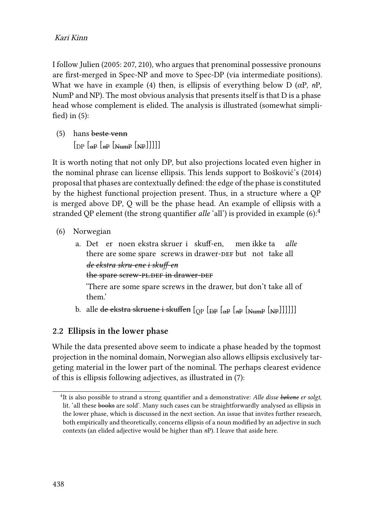I follow [Julien \(2005](#page-14-1): 207, 210), who argues that prenominal possessive pronouns are first-merged in Spec-NP and move to Spec-DP (via intermediate positions). What we have in example([4](#page-2-1)) then, is ellipsis of everything below D (αP, *n*P, NumP and NP). The most obvious analysis that presents itself is that D is a phase head whose complement is elided. The analysis is illustrated (somewhat simplified) in([5\)](#page-3-0):

<span id="page-3-0"></span>(5) hans beste venn  $\left[\int_{\text{D}P}\left[\int_{\text{R}P}\left[\int_{\text{N}H}\right]\right]_{\text{N}H}\right]$ 

It is worth noting that not only DP, but also projections located even higher in the nominal phrase can license ellipsis. This lends support to [Bošković'](#page-13-3)s (2014) proposal that phases are contextually defined: the edge of the phase is constituted by the highest functional projection present. Thus, in a structure where a QP is merged above DP, Q will be the phase head. An example of ellipsis with a stranded QP element (the strong quantifier *alle* 'all') is provided in example [\(6](#page-3-1)):<sup>4</sup>

- <span id="page-3-1"></span>(6) Norwegian
	- a. Det er noen ekstra skruer i skuff-en, there are some spare screws in drawer-DEF but not take all men ikke ta *alle de ekstra skru-ene i skuff-en* the spare screw-PL.DEF in drawer-DEF 'There are some spare screws in the drawer, but don't take all of

them.'

b. alle <del>de ekstra skruene i skuffen</del> [<sub>OP</sub> [<sub>Đ</sub>p [<sub>α</sub>ρ [<sub>*n*P</sub> [<sub>NumP</sub> [<sub>NP</sub>]]]]]]

#### **2.2 Ellipsis in the lower phase**

While the data presented above seem to indicate a phase headed by the topmost projection in the nominal domain, Norwegian also allows ellipsis exclusively targeting material in the lower part of the nominal. The perhaps clearest evidence of this is ellipsis following adjectives, as illustrated in([7\)](#page-4-0):

<sup>4</sup> It is also possible to strand a strong quantifier and a demonstrative: *Alle disse bøkene er solgt*, lit. 'all these books are sold'. Many such cases can be straightforwardly analysed as ellipsis in the lower phase, which is discussed in the next section. An issue that invites further research, both empirically and theoretically, concerns ellipsis of a noun modified by an adjective in such contexts (an elided adjective would be higher than *n*P). I leave that aside here.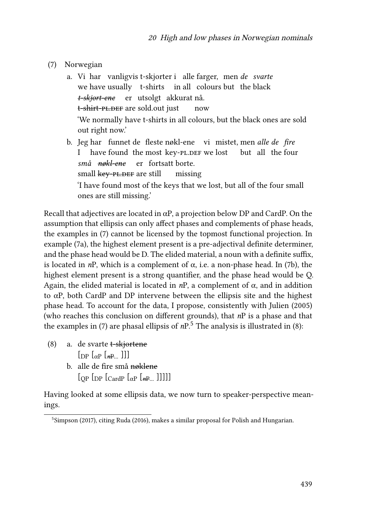- <span id="page-4-0"></span>(7) Norwegian
	- a. Vi har vanligvis t-skjorter i alle farger, men *de svarte* we have usually t-shirts in all colours but the black *t-skjort-ene* er utsolgt akkurat nå. t-s<del>hirt-pl.DEF</del> are sold.out just now 'We normally have t-shirts in all colours, but the black ones are sold out right now.' b. Jeg har funnet de fleste nøkl-ene vi mistet, men *alle de fire*
	- I have found the most key-PL.DEF we lost but all the four *små nøkl-ene* er fortsatt borte. small <del>key-pl.DEF</del> are still missing 'I have found most of the keys that we lost, but all of the four small ones are still missing.'

Recall that adjectives are located in  $\alpha P$ , a projection below DP and CardP. On the assumption that ellipsis can only affect phases and complements of phase heads, the examples in [\(7](#page-4-0)) cannot be licensed by the topmost functional projection. In example [\(7a](#page-4-0)), the highest element present is a pre-adjectival definite determiner, and the phase head would be D. The elided material, a noun with a definite suffix, is located in *n*P, which is a complement of  $\alpha$ , i.e. a non-phase head. In [\(7](#page-4-0)b), the highest element present is a strong quantifier, and the phase head would be Q. Again, the elided material is located in  $nP$ , a complement of  $\alpha$ , and in addition to  $\alpha$ P, both CardP and DP intervene between the ellipsis site and the highest phase head. To account for the data, I propose, consistently with [Julien \(2005\)](#page-14-1) (who reaches this conclusion on different grounds), that *n*P is a phase and that the examples in [\(7\)](#page-4-0)are phasal ellipsis of  $nP<sup>5</sup>$ . The analysis is illustrated in ([8](#page-4-1)):

- <span id="page-4-1"></span>(8) a. de svarte t-skjortene  $\lceil_{\text{DP}} \rceil_{\alpha}$   $\lceil_{\text{mP}} \rceil$   $\lceil_{\text{mP}} \rceil$ 
	- b. alle de fire små nøklene  $\lbrack$  [OP  $\lbrack$   $\lbrack$   $\lbrack$  $\lbrack$  $\lbrack$  $\lbrack$  $\lbrack$  $\lbrack$  $\lbrack$  $\lbrack$  $\lbrack$  $\lbrack$  $\lbrack$  $\lbrack$  $\lbrack$  $\lbrack$  $\lbrack$  $\lbrack$  $\lbrack$  $\lbrack$  $\lbrack$  $\lbrack$  $\lbrack$  $\lbrack$  $\lbrack$  $\lbrack$  $\lbrack$  $\lbrack$  $\lbrack$  $\lbrack$  $\lbrack$  $\lbrack$  $\lbrack$  $\lbrack$  $\lbr$

Having looked at some ellipsis data, we now turn to speaker-perspective meanings.

<sup>&</sup>lt;sup>5</sup>[Simpson \(2017\)](#page-15-1), citing [Ruda \(2016\)](#page-15-5), makes a similar proposal for Polish and Hungarian.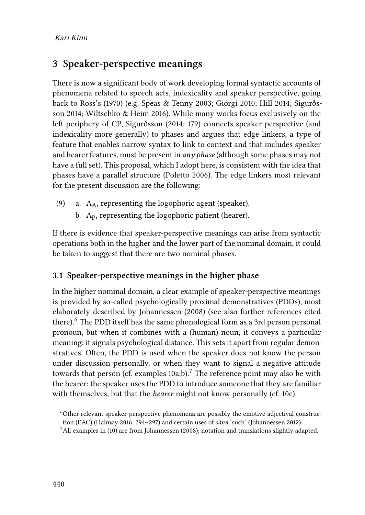## **3 Speaker-perspective meanings**

There is now a significant body of work developing formal syntactic accounts of phenomena related to speech acts, indexicality and speaker perspective, going back to [Ross](#page-14-3)'s (1970) (e.g. [Speas & Tenny 2003](#page-15-6); [Giorgi 2010;](#page-14-4) [Hill 2014;](#page-14-5) [Sigurðs](#page-15-4)[son 2014;](#page-15-4) [Wiltschko & Heim 2016](#page-15-7)). While many works focus exclusively on the left periphery of CP, [Sigurðsson \(2014:](#page-15-4) 179) connects speaker perspective (and indexicality more generally) to phases and argues that edge linkers, a type of feature that enables narrow syntax to link to context and that includes speaker and hearer features, must be present in *any phase* (although some phases may not have a full set). This proposal, which I adopt here, is consistent with the idea that phases have a parallel structure([Poletto 2006\)](#page-14-6). The edge linkers most relevant for the present discussion are the following:

- (9) a.  $\Lambda_A$ , representing the logophoric agent (speaker).
	- b.  $\Lambda_{\rm P}$ , representing the logophoric patient (hearer).

If there is evidence that speaker-perspective meanings can arise from syntactic operations both in the higher and the lower part of the nominal domain, it could be taken to suggest that there are two nominal phases.

#### **3.1 Speaker-perspective meanings in the higher phase**

In the higher nominal domain, a clear example of speaker-perspective meanings is provided by so-called psychologically proximal demonstratives (PDDs), most elaborately described by [Johannessen \(2008\)](#page-14-2) (see also further references cited there).<sup>6</sup> The PDD itself has the same phonological form as a 3rd person personal pronoun, but when it combines with a (human) noun, it conveys a particular meaning: it signals psychological distance. This sets it apart from regular demonstratives. Often, the PDD is used when the speaker does not know the person under discussion personally, or when they want to signal a negative attitude towards that person (cf. examples  $10a,b$  $10a,b$ ).<sup>7</sup> The reference point may also be with the hearer: the speaker uses the PDD to introduce someone that they are familiar with themselves, but that the *hearer* might not know personally (cf. [10c](#page-6-0)).

<sup>&</sup>lt;sup>6</sup>Other relevant speaker-perspective phenomena are possibly the emotive adjectival construction (EAC)([Halmøy 2016](#page-14-7): 294–297) and certain uses of *sånn* 'such'([Johannessen 2012\)](#page-14-8).

 $^7$ Allexamples in ([10](#page-6-0)) are from [Johannessen \(2008\)](#page-14-2); notation and translations slightly adapted.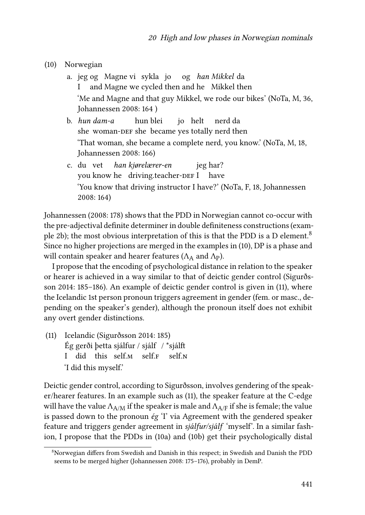- <span id="page-6-0"></span>(10) Norwegian
	- a. jeg og Magne vi sykla jo og *han Mikkel* da I and Magne we cycled then and he Mikkel then 'Me and Magne and that guy Mikkel, we rode our bikes' (NoTa, M, 36, [Johannessen 2008](#page-14-2): 164 )
	- b. *hun dam-a* she woman- $\rho$ er she became yes totally nerd then hun blei jo helt nerd da 'That woman, she became a complete nerd, you know.' (NoTa, M, 18, [Johannessen 2008](#page-14-2): 166)
	- c. du vet you know he⊥driving.teacher- $\mathtt{DEF} \, \mathrm{I}$  have *han kjørelærer-en* jeg har? 'You know that driving instructor I have?' (NoTa, F, 18, [Johannessen](#page-14-2) [2008:](#page-14-2) 164)

[Johannessen \(2008:](#page-14-2) 178) shows that the PDD in Norwegian cannot co-occur with the pre-adjectival definite determiner in double definiteness constructions (exam-ple [2b](#page-1-0)); the most obvious interpretation of this is that the PDD is a D element.<sup>8</sup> Since no higher projections are merged in the examples in [\(10\)](#page-6-0), DP is a phase and will contain speaker and hearer features ( $\Lambda_A$  and  $\Lambda_P$ ).

I propose that the encoding of psychological distance in relation to the speaker or hearer is achieved in a way similar to that of deictic gender control [\(Sigurðs](#page-15-4)[son 2014:](#page-15-4) 185–186). An example of deictic gender control is given in [\(11\)](#page-6-1), where the Icelandic 1st person pronoun triggers agreement in gender (fem. or masc., depending on the speaker's gender), although the pronoun itself does not exhibit any overt gender distinctions.

<span id="page-6-1"></span>(11) Icelandic [\(Sigurðsson 2014:](#page-15-4) 185) Ég gerði þetta sjálfur / sjálf / \*sjálft I did this self.<sub>M</sub> self.<sub>F</sub> self <sub>N</sub> 'I did this myself.'

Deictic gender control, according to Sigurðsson, involves gendering of the speaker/hearer features. In an example such as([11](#page-6-1)), the speaker feature at the C-edge will have the value  $\Lambda_{A/M}$  if the speaker is male and  $\Lambda_{A/F}$  if she is female; the value is passed down to the pronoun *ég* 'I' via Agreement with the gendered speaker feature and triggers gender agreement in *sjálfur/sjálf* 'myself'. In a similar fashion, I propose that the PDDs in([10](#page-6-0)a) and [\(10](#page-6-0)b) get their psychologically distal

<sup>8</sup>Norwegian differs from Swedish and Danish in this respect; in Swedish and Danish the PDD seems to be merged higher([Johannessen 2008](#page-14-2): 175–176), probably in DemP.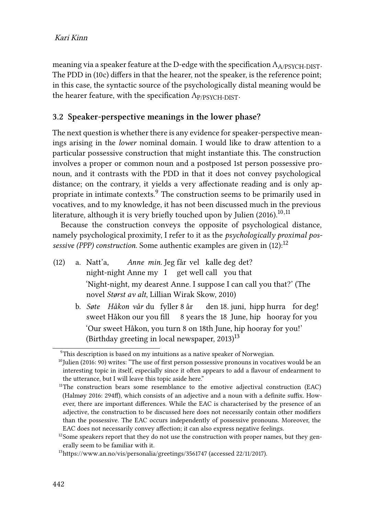meaning via a speaker feature at the D-edge with the specification  $\Lambda_{A/PSVCH-DFST}$ . The PDD in([10c](#page-6-0)) differs in that the hearer, not the speaker, is the reference point; in this case, the syntactic source of the psychologically distal meaning would be the hearer feature, with the specification  $\Lambda_{P/PSYCH-DIST}$ .

#### **3.2 Speaker-perspective meanings in the lower phase?**

The next question is whether there is any evidence for speaker-perspective meanings arising in the *lower* nominal domain. I would like to draw attention to a particular possessive construction that might instantiate this. The construction involves a proper or common noun and a postposed 1st person possessive pronoun, and it contrasts with the PDD in that it does not convey psychological distance; on the contrary, it yields a very affectionate reading and is only appropriate in intimate contexts.<sup>9</sup> The construction seems to be primarily used in vocatives, and to my knowledge, it has not been discussed much in the previous literature, although it is very briefly touched upon by [Julien \(2016\)](#page-14-9). $^{\rm 10,11}$ 

Because the construction conveys the opposite of psychological distance, namely psychological proximity, I refer to it as the *psychologically proximal pos-sessive(PPP) construction*. Some authentic examples are given in ([12\)](#page-7-0):<sup>12</sup>

- <span id="page-7-0"></span>(12) a. Natt'a, night-night Anne my I get well call you that Anne min. Jeg får vel kalle deg det? 'Night-night, my dearest Anne. I suppose I can call you that?' (The novel *Størst av alt*, Lillian Wirak Skow, 2010)
	- b. *Søte Håkon vår* du fyller 8 år sweet Håkon our you fill 8 years the 18 June, hip hooray for you den 18. juni, hipp hurra for deg! 'Our sweet Håkon, you turn 8 on 18th June, hip hooray for you!' (Birthday greeting in local newspaper,  $2013$ )<sup>13</sup>

 $9$ This description is based on my intuitions as a native speaker of Norwegian.

<sup>&</sup>lt;sup>10</sup>[Julien \(2016](#page-14-9): 90) writes: "The use of first person possessive pronouns in vocatives would be an interesting topic in itself, especially since it often appears to add a flavour of endearment to the utterance, but I will leave this topic aside here."

 $11$ The construction bears some resemblance to the emotive adjectival construction (EAC) [\(Halmøy 2016](#page-14-7): 294ff), which consists of an adjective and a noun with a definite suffix. However, there are important differences. While the EAC is characterised by the presence of an adjective, the construction to be discussed here does not necessarily contain other modifiers than the possessive. The EAC occurs independently of possessive pronouns. Moreover, the EAC does not necessarily convey affection; it can also express negative feelings.

<sup>&</sup>lt;sup>12</sup>Some speakers report that they do not use the construction with proper names, but they generally seem to be familiar with it.

<sup>13</sup><https://www.an.no/vis/personalia/greetings/3561747> (accessed 22/11/2017).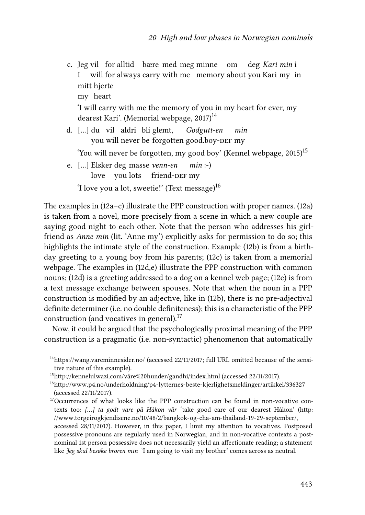- c. Jeg vil for alltid bære med meg minne om I will for always carry with me memory about you Kari my in deg *Kari min* i mitt hjerte my heart 'I will carry with me the memory of you in my heart for ever, my dearest Kari'. (Memorial webpage,  $2017$ )<sup>14</sup>
- d. [...] du vil aldri bli glemt, you will never be forgotten good.boy- $\scriptstyle\rm DEF$  my *Godgutt-en min*

'You will never be forgotten, my good boy' (Kennel webpage,  $2015$ )<sup>15</sup>

e. [...] Elsker deg masse *venn-en* love you lots friend-DEF my *min* :-) 'I love you a lot, sweetie!' (Text message)<sup>16</sup>

The examples in([12](#page-7-0)a–c) illustrate the PPP construction with proper names.([12a](#page-7-0)) is taken from a novel, more precisely from a scene in which a new couple are saying good night to each other. Note that the person who addresses his girlfriend as *Anne min* (lit. 'Anne my') explicitly asks for permission to do so; this highlights the intimate style of the construction. Example([12b](#page-7-0)) is from a birthday greeting to a young boy from his parents; [\(12](#page-7-0)c) is taken from a memorial webpage. The examples in [\(12](#page-7-0)d,e) illustrate the PPP construction with common nouns;([12](#page-7-0)d) is a greeting addressed to a dog on a kennel web page; [\(12](#page-7-0)e) is from a text message exchange between spouses. Note that when the noun in a PPP construction is modified by an adjective, like in [\(12b](#page-7-0)), there is no pre-adjectival definite determiner (i.e. no double definiteness); this is a characteristic of the PPP construction (and vocatives in general).<sup>17</sup>

Now, it could be argued that the psychologically proximal meaning of the PPP construction is a pragmatic (i.e. non-syntactic) phenomenon that automatically

<sup>&</sup>lt;sup>14</sup><https://wang.vareminnesider.no/> (accessed 22/11/2017; full URL omitted because of the sensitive nature of this example).

<sup>15</sup><http://kennelulwazi.com/våre%20hunder/gandhi/index.html> (accessed 22/11/2017).

<sup>16</sup><http://www.p4.no/underholdning/p4-lytternes-beste-kjerlighetsmeldinger/artikkel/336327> (accessed 22/11/2017).

<sup>&</sup>lt;sup>17</sup>Occurrences of what looks like the PPP construction can be found in non-vocative contexts too: *[…] ta godt vare på Håkon vår* 'take good care of our dearest Håkon' [\(http:](http://www.torgeirogkjendisene.no/10/48/2/bangkok-og-cha-am-thailand-19-29-september/) [//www.torgeirogkjendisene.no/10/48/2/bangkok-og-cha-am-thailand-19-29-september/,](http://www.torgeirogkjendisene.no/10/48/2/bangkok-og-cha-am-thailand-19-29-september/)

accessed 28/11/2017). However, in this paper, I limit my attention to vocatives. Postposed possessive pronouns are regularly used in Norwegian, and in non-vocative contexts a postnominal 1st person possessive does not necessarily yield an affectionate reading; a statement like *Jeg skal besøke broren min* 'I am going to visit my brother' comes across as neutral.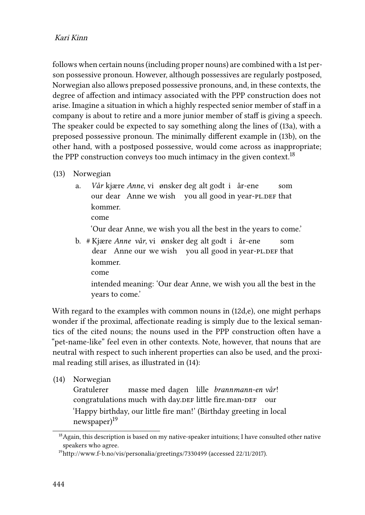follows when certain nouns (including proper nouns) are combined with a 1st person possessive pronoun. However, although possessives are regularly postposed, Norwegian also allows preposed possessive pronouns, and, in these contexts, the degree of affection and intimacy associated with the PPP construction does not arise. Imagine a situation in which a highly respected senior member of staff in a company is about to retire and a more junior member of staff is giving a speech. The speaker could be expected to say something along the lines of([13a](#page-9-0)), with a preposed possessive pronoun. The minimally different example in([13b](#page-9-0)), on the other hand, with a postposed possessive, would come across as inappropriate; the PPP construction conveys too much intimacy in the given context.<sup>18</sup>

- <span id="page-9-0"></span>(13) Norwegian
	- a. Vår kjære Anne, vi ønsker deg alt godt i år-ene our dear Anne we wish you all good in year-PL.DEF that som kommer.

come

'Our dear Anne, we wish you all the best in the years to come.'

b. # Kjære *Anne vår*, vi ønsker deg alt godt i år-ene dear Anne our we wish you all good in year-pL.DEF that som kommer. come intended meaning: 'Our dear Anne, we wish you all the best in the years to come.'

With regard to the examples with common nouns in [\(12d](#page-7-0),e), one might perhaps wonder if the proximal, affectionate reading is simply due to the lexical semantics of the cited nouns; the nouns used in the PPP construction often have a "pet-name-like" feel even in other contexts. Note, however, that nouns that are neutral with respect to such inherent properties can also be used, and the proximal reading still arises, as illustrated in [\(14\)](#page-9-1):

<span id="page-9-1"></span>(14) Norwegian

Gratulerer congratulations much with day.DEF little fire.man-DEF our masse med dagen lille *brannmann-en vår*! 'Happy birthday, our little fire man!' (Birthday greeting in local newspaper)<sup>19</sup>

<sup>&</sup>lt;sup>18</sup> Again, this description is based on my native-speaker intuitions; I have consulted other native speakers who agree.

<sup>19</sup><http://www.f-b.no/vis/personalia/greetings/7330499> (accessed 22/11/2017).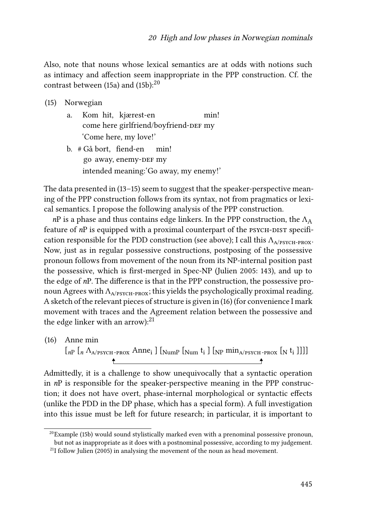Also, note that nouns whose lexical semantics are at odds with notions such as intimacy and affection seem inappropriate in the PPP construction. Cf. the contrastbetween ([15a](#page-10-0)) and ([15b](#page-10-0)): $^{20}$ 

- <span id="page-10-0"></span>(15) Norwegian
	- a. Kom hit, kjærest-en come here girlfriend/boyfriend-DEF my min! 'Come here, my love!'
	- b. # Gå bort, fiend-en go away, enemy-DEF my min! intended meaning:'Go away, my enemy!'

The data presented in [\(13](#page-9-0)[–15\)](#page-10-0) seem to suggest that the speaker-perspective meaning of the PPP construction follows from its syntax, not from pragmatics or lexical semantics. I propose the following analysis of the PPP construction.

*n*P is a phase and thus contains edge linkers. In the PPP construction, the  $\Lambda_A$ feature of *n*P is equipped with a proximal counterpart of the PSYCH-DIST specification responsible for the PDD construction (see above); I call this  $\Lambda_{A/PSYCH-PROX}$ . Now, just as in regular possessive constructions, postposing of the possessive pronoun follows from movement of the noun from its NP-internal position past the possessive, which is first-merged in Spec-NP [\(Julien 2005:](#page-14-1) 143), and up to the edge of *n*P. The difference is that in the PPP construction, the possessive pronoun Agrees with  $\Lambda_{A/PSYCH-PROX}$ ; this yields the psychologically proximal reading. A sketch of the relevant pieces of structure is given in([16\)](#page-10-1) (for convenience I mark movement with traces and the Agreement relation between the possessive and the edge linker with an arrow): $^{21}$ 

<span id="page-10-1"></span>(16) Anne min  $\left[\begin{smallmatrix} 1 & n \end{smallmatrix}\right]\left[\begin{smallmatrix} 1 & n \end{smallmatrix}\right]$   $\left[\begin{smallmatrix} 1 & n \end{smallmatrix}\right]$   $\left[\begin{smallmatrix} 1 & n \end{smallmatrix}\right]$   $\left[\begin{smallmatrix} 1 & n \end{smallmatrix}\right]$   $\left[\begin{smallmatrix} 1 & n \end{smallmatrix}\right]$  $\left[\begin{smallmatrix} 1 & n \end{smallmatrix}\right]$  $\ddot{\bullet}$  $\ddot{\phantom{1}}$ 

Admittedly, it is a challenge to show unequivocally that a syntactic operation in *n*P is responsible for the speaker-perspective meaning in the PPP construction; it does not have overt, phase-internal morphological or syntactic effects (unlike the PDD in the DP phase, which has a special form). A full investigation into this issue must be left for future research; in particular, it is important to

 $20$ Example [\(15b](#page-10-0)) would sound stylistically marked even with a prenominal possessive pronoun, but not as inappropriate as it does with a postnominal possessive, according to my judgement.

 $^{21}$ I follow [Julien \(2005\)](#page-14-1) in analysing the movement of the noun as head movement.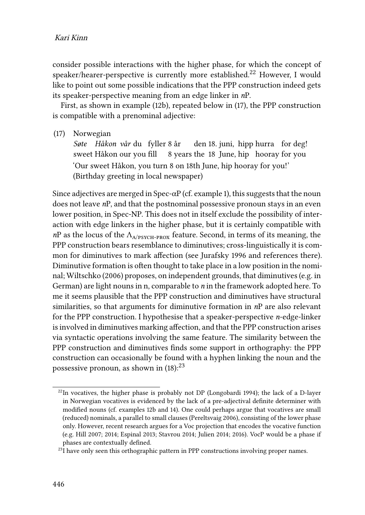consider possible interactions with the higher phase, for which the concept of speaker/hearer-perspective is currently more established.<sup>22</sup> However, I would like to point out some possible indications that the PPP construction indeed gets its speaker-perspective meaning from an edge linker in *n*P.

First, as shown in example([12b](#page-7-0)), repeated below in [\(17\)](#page-11-0), the PPP construction is compatible with a prenominal adjective:

<span id="page-11-0"></span>(17) Norwegian

Søte Håkon vår du fyller 8 år den 18. juni, hipp hurra for deg! sweet Håkon our you fill 8 years the 18 June, hip hooray for you 'Our sweet Håkon, you turn 8 on 18th June, hip hooray for you!' (Birthday greeting in local newspaper)

Since adjectives are merged in Spec- $\alpha P$  (cf. example [1](#page-1-1)), this suggests that the noun does not leave *n*P, and that the postnominal possessive pronoun stays in an even lower position, in Spec-NP. This does not in itself exclude the possibility of interaction with edge linkers in the higher phase, but it is certainly compatible with  $nP$  as the locus of the  $\Lambda_{A/PSVCH-PROY}$  feature. Second, in terms of its meaning, the PPP construction bears resemblance to diminutives; cross-linguistically it is common for diminutives to mark affection (see [Jurafsky 1996](#page-14-10) and references there). Diminutive formation is often thought to take place in a low position in the nominal; [Wiltschko \(2006\)](#page-15-8) proposes, on independent grounds, that diminutives (e.g. in German) are light nouns in n, comparable to *n* in the framework adopted here. To me it seems plausible that the PPP construction and diminutives have structural similarities, so that arguments for diminutive formation in *n*P are also relevant for the PPP construction. I hypothesise that a speaker-perspective *n*-edge-linker is involved in diminutives marking affection, and that the PPP construction arises via syntactic operations involving the same feature. The similarity between the PPP construction and diminutives finds some support in orthography: the PPP construction can occasionally be found with a hyphen linking the noun and the possessivepronoun, as shown in  $(18)$  $(18)$  $(18)$ :  $^{23}$ 

 $22$ In vocatives, the higher phase is probably not DP [\(Longobardi 1994](#page-14-11)); the lack of a D-layer in Norwegian vocatives is evidenced by the lack of a pre-adjectival definite determiner with modified nouns (cf. examples [12](#page-7-0)b and [14](#page-9-1)). One could perhaps argue that vocatives are small (reduced) nominals, a parallel to small clauses [\(Pereltsvaig 2006\)](#page-14-12), consisting of the lower phase only. However, recent research argues for a Voc projection that encodes the vocative function (e.g. [Hill 2007;](#page-14-13) [2014;](#page-14-5) [Espinal 2013](#page-13-4); [Stavrou 2014](#page-15-9); [Julien 2014](#page-14-14); [2016](#page-14-9)). VocP would be a phase if phases are contextually defined.

 $23$ I have only seen this orthographic pattern in PPP constructions involving proper names.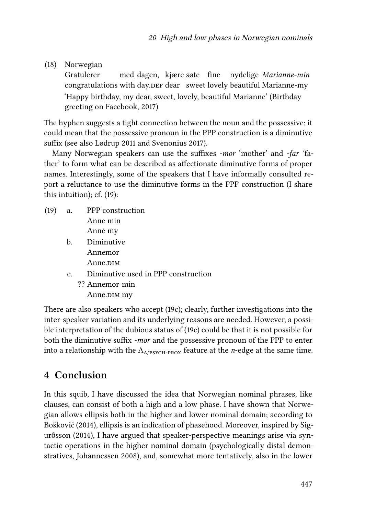<span id="page-12-0"></span>(18) Norwegian

Gratulerer congratulations with day.<code>DEF</code> dear  $\,$  sweet lovely beautiful Marianne-my  $\,$ med dagen, kjære søte fine nydelige *Marianne-min* 'Happy birthday, my dear, sweet, lovely, beautiful Marianne' (Birthday greeting on Facebook, 2017)

The hyphen suggests a tight connection between the noun and the possessive; it could mean that the possessive pronoun in the PPP construction is a diminutive suffix (see also [Lødrup 2011](#page-14-15) and [Svenonius 2017\)](#page-15-10).

Many Norwegian speakers can use the suffixes *-mor* 'mother' and *-far* 'father' to form what can be described as affectionate diminutive forms of proper names. Interestingly, some of the speakers that I have informally consulted report a reluctance to use the diminutive forms in the PPP construction (I share this intuition); cf. [\(19](#page-12-1)):

- <span id="page-12-1"></span>(19) a. PPP construction Anne min Anne my
	- b. Diminutive Annemor Anne.<sub>DIM</sub>
	- c. Diminutive used in PPP construction
		- ?? Annemor min Anne.<sub>DIM</sub> my

There are also speakers who accept([19c](#page-12-1)); clearly, further investigations into the inter-speaker variation and its underlying reasons are needed. However, a possible interpretation of the dubious status of([19c](#page-12-1)) could be that it is not possible for both the diminutive suffix *-mor* and the possessive pronoun of the PPP to enter into a relationship with the  $\Lambda_{A/PSKCH-PROX}$  feature at the *n*-edge at the same time.

## **4 Conclusion**

In this squib, I have discussed the idea that Norwegian nominal phrases, like clauses, can consist of both a high and a low phase. I have shown that Norwegian allows ellipsis both in the higher and lower nominal domain; according to [Bošković \(2014\),](#page-13-3) ellipsis is an indication of phasehood. Moreover, inspired by [Sig](#page-15-4)[urðsson \(2014\),](#page-15-4) I have argued that speaker-perspective meanings arise via syntactic operations in the higher nominal domain (psychologically distal demonstratives, [Johannessen 2008\)](#page-14-2), and, somewhat more tentatively, also in the lower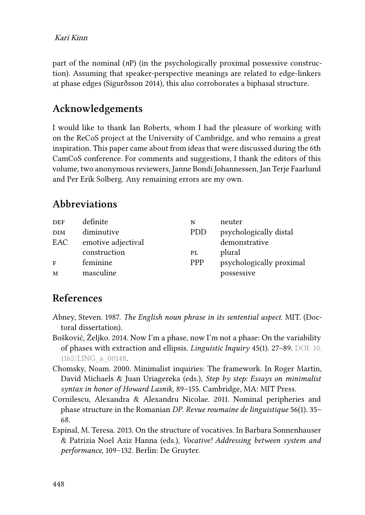part of the nominal (*n*P) (in the psychologically proximal possessive construction). Assuming that speaker-perspective meanings are related to edge-linkers at phase edges [\(Sigurðsson 2014](#page-15-4)), this also corroborates a biphasal structure.

## **Acknowledgements**

I would like to thank Ian Roberts, whom I had the pleasure of working with on the ReCoS project at the University of Cambridge, and who remains a great inspiration. This paper came about from ideas that were discussed during the 6th CamCoS conference. For comments and suggestions, I thank the editors of this volume, two anonymous reviewers, Janne Bondi Johannessen, Jan Terje Faarlund and Per Erik Solberg. Any remaining errors are my own.

## **Abbreviations**

| <b>DEF</b> | definite           | N          | neuter                   |
|------------|--------------------|------------|--------------------------|
| <b>DIM</b> | diminutive         | <b>PDD</b> | psychologically distal   |
| EAC        | emotive adjectival |            | demonstrative            |
|            | construction       | PL         | plural                   |
| F          | feminine           | <b>PPP</b> | psychologically proximal |
| M          | masculine          |            | possessive               |

## **References**

- <span id="page-13-1"></span>Abney, Steven. 1987. *The English noun phrase in its sentential aspect*. MIT. (Doctoral dissertation).
- <span id="page-13-3"></span>Bošković, Željko. 2014. Now I'm a phase, now I'm not a phase: On the variability of phases with extraction and ellipsis. *Linguistic Inquiry* 45(1). 27–89. DOI: [10.](https://doi.org/10.1162/LING_a_00148) [1162/LING\\_a\\_00148.](https://doi.org/10.1162/LING_a_00148)
- <span id="page-13-2"></span>Chomsky, Noam. 2000. Minimalist inquiries: The framework. In Roger Martin, David Michaels & Juan Uriagereka (eds.), *Step by step: Essays on minimalist syntax in honor of Howard Lasnik*, 89–155. Cambridge, MA: MIT Press.
- <span id="page-13-0"></span>Cornilescu, Alexandra & Alexandru Nicolae. 2011. Nominal peripheries and phase structure in the Romanian *DP*. *Revue roumaine de linguistique* 56(1). 35– 68.
- <span id="page-13-4"></span>Espinal, M. Teresa. 2013. On the structure of vocatives. In Barbara Sonnenhauser & Patrizia Noel Aziz Hanna (eds.), *Vocative! Addressing between system and performance*, 109–132. Berlin: De Gruyter.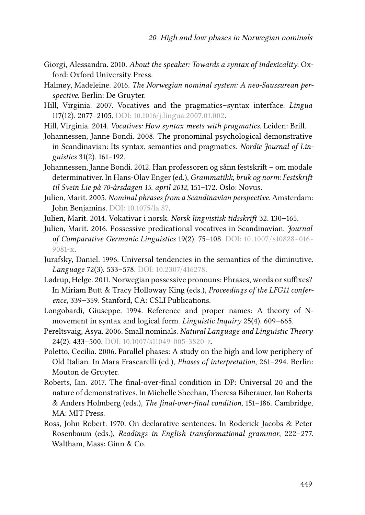- <span id="page-14-4"></span>Giorgi, Alessandra. 2010. *About the speaker: Towards a syntax of indexicality*. Oxford: Oxford University Press.
- <span id="page-14-7"></span>Halmøy, Madeleine. 2016. *The Norwegian nominal system: A neo-Saussurean perspective*. Berlin: De Gruyter.
- <span id="page-14-13"></span>Hill, Virginia. 2007. Vocatives and the pragmatics–syntax interface. *Lingua* 117(12). 2077–2105. DOI: [10.1016/j.lingua.2007.01.002](https://doi.org/10.1016/j.lingua.2007.01.002).
- <span id="page-14-5"></span>Hill, Virginia. 2014. *Vocatives: How syntax meets with pragmatics*. Leiden: Brill.
- <span id="page-14-2"></span>Johannessen, Janne Bondi. 2008. The pronominal psychological demonstrative in Scandinavian: Its syntax, semantics and pragmatics. *Nordic Journal of Linguistics* 31(2). 161–192.
- <span id="page-14-8"></span>Johannessen, Janne Bondi. 2012. Han professoren og sånn festskrift – om modale determinativer. In Hans-Olav Enger (ed.), *Grammatikk, bruk og norm: Festskrift til Svein Lie på 70-årsdagen 15. april 2012*, 151–172. Oslo: Novus.
- <span id="page-14-1"></span>Julien, Marit. 2005. *Nominal phrases from a Scandinavian perspective*. Amsterdam: John Benjamins. DOI: [10.1075/la.87.](https://doi.org/10.1075/la.87)
- <span id="page-14-14"></span>Julien, Marit. 2014. Vokativar i norsk. *Norsk lingvistisk tidsskrift* 32. 130–165.
- <span id="page-14-9"></span>Julien, Marit. 2016. Possessive predicational vocatives in Scandinavian. *Journal of Comparative Germanic Linguistics* 19(2). 75–108. DOI: [10.1007/s10828-016-](https://doi.org/10.1007/s10828-016-9081-x) [9081-x](https://doi.org/10.1007/s10828-016-9081-x).
- <span id="page-14-10"></span>Jurafsky, Daniel. 1996. Universal tendencies in the semantics of the diminutive. *Language* 72(3). 533–578. DOI: [10.2307/416278](https://doi.org/10.2307/416278).
- <span id="page-14-15"></span>Lødrup, Helge. 2011. Norwegian possessive pronouns: Phrases, words or suffixes? In Miriam Butt & Tracy Holloway King (eds.), *Proceedings of the LFG11 conference*, 339–359. Stanford, CA: CSLI Publications.
- <span id="page-14-11"></span>Longobardi, Giuseppe. 1994. Reference and proper names: A theory of Nmovement in syntax and logical form. *Linguistic Inquiry* 25(4). 609–665.
- <span id="page-14-12"></span>Pereltsvaig, Asya. 2006. Small nominals. *Natural Language and Linguistic Theory* 24(2). 433–500. DOI: [10.1007/s11049-005-3820-z.](https://doi.org/10.1007/s11049-005-3820-z)
- <span id="page-14-6"></span>Poletto, Cecilia. 2006. Parallel phases: A study on the high and low periphery of Old Italian. In Mara Frascarelli (ed.), *Phases of interpretation*, 261–294. Berlin: Mouton de Gruyter.
- <span id="page-14-0"></span>Roberts, Ian. 2017. The final-over-final condition in DP: Universal 20 and the nature of demonstratives. In Michelle Sheehan, Theresa Biberauer, Ian Roberts & Anders Holmberg (eds.), *The final-over-final condition*, 151–186. Cambridge, MA: MIT Press.
- <span id="page-14-3"></span>Ross, John Robert. 1970. On declarative sentences. In Roderick Jacobs & Peter Rosenbaum (eds.), *Readings in English transformational grammar*, 222–277. Waltham, Mass: Ginn & Co.